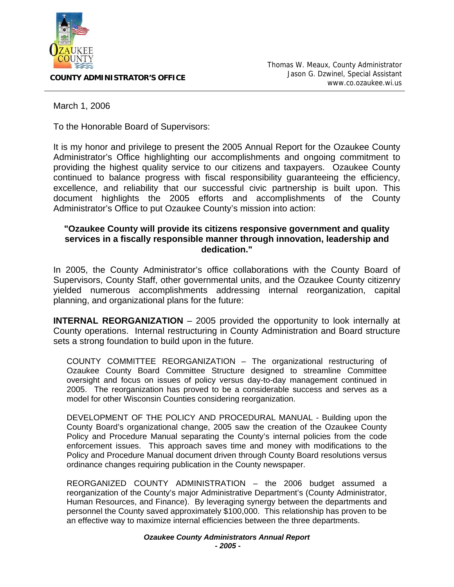

**COUNTY ADMINISTRATOR'S OFFICE**

March 1, 2006

To the Honorable Board of Supervisors:

It is my honor and privilege to present the 2005 Annual Report for the Ozaukee County Administrator's Office highlighting our accomplishments and ongoing commitment to providing the highest quality service to our citizens and taxpayers. Ozaukee County continued to balance progress with fiscal responsibility guaranteeing the efficiency, excellence, and reliability that our successful civic partnership is built upon. This document highlights the 2005 efforts and accomplishments of the County Administrator's Office to put Ozaukee County's mission into action:

## **"Ozaukee County will provide its citizens responsive government and quality services in a fiscally responsible manner through innovation, leadership and dedication."**

In 2005, the County Administrator's office collaborations with the County Board of Supervisors, County Staff, other governmental units, and the Ozaukee County citizenry yielded numerous accomplishments addressing internal reorganization, capital planning, and organizational plans for the future:

**INTERNAL REORGANIZATION** – 2005 provided the opportunity to look internally at County operations. Internal restructuring in County Administration and Board structure sets a strong foundation to build upon in the future.

COUNTY COMMITTEE REORGANIZATION – The organizational restructuring of Ozaukee County Board Committee Structure designed to streamline Committee oversight and focus on issues of policy versus day-to-day management continued in 2005. The reorganization has proved to be a considerable success and serves as a model for other Wisconsin Counties considering reorganization.

DEVELOPMENT OF THE POLICY AND PROCEDURAL MANUAL - Building upon the County Board's organizational change, 2005 saw the creation of the Ozaukee County Policy and Procedure Manual separating the County's internal policies from the code enforcement issues. This approach saves time and money with modifications to the Policy and Procedure Manual document driven through County Board resolutions versus ordinance changes requiring publication in the County newspaper.

REORGANIZED COUNTY ADMINISTRATION – the 2006 budget assumed a reorganization of the County's major Administrative Department's (County Administrator, Human Resources, and Finance). By leveraging synergy between the departments and personnel the County saved approximately \$100,000. This relationship has proven to be an effective way to maximize internal efficiencies between the three departments.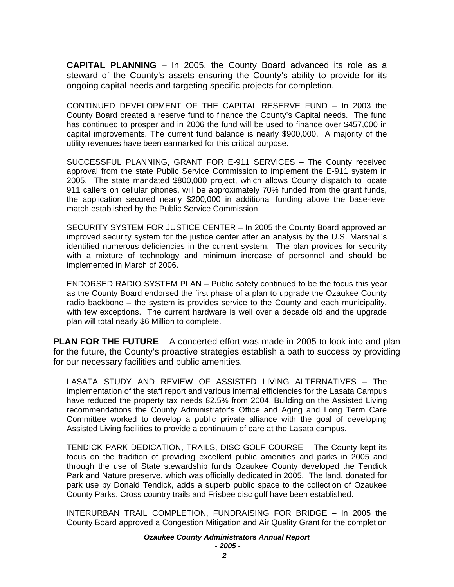**CAPITAL PLANNING** – In 2005, the County Board advanced its role as a steward of the County's assets ensuring the County's ability to provide for its ongoing capital needs and targeting specific projects for completion.

CONTINUED DEVELOPMENT OF THE CAPITAL RESERVE FUND – In 2003 the County Board created a reserve fund to finance the County's Capital needs. The fund has continued to prosper and in 2006 the fund will be used to finance over \$457,000 in capital improvements. The current fund balance is nearly \$900,000. A majority of the utility revenues have been earmarked for this critical purpose.

SUCCESSFUL PLANNING, GRANT FOR E-911 SERVICES – The County received approval from the state Public Service Commission to implement the E-911 system in 2005. The state mandated \$800,000 project, which allows County dispatch to locate 911 callers on cellular phones, will be approximately 70% funded from the grant funds, the application secured nearly \$200,000 in additional funding above the base-level match established by the Public Service Commission.

SECURITY SYSTEM FOR JUSTICE CENTER – In 2005 the County Board approved an improved security system for the justice center after an analysis by the U.S. Marshall's identified numerous deficiencies in the current system. The plan provides for security with a mixture of technology and minimum increase of personnel and should be implemented in March of 2006.

ENDORSED RADIO SYSTEM PLAN – Public safety continued to be the focus this year as the County Board endorsed the first phase of a plan to upgrade the Ozaukee County radio backbone – the system is provides service to the County and each municipality, with few exceptions. The current hardware is well over a decade old and the upgrade plan will total nearly \$6 Million to complete.

**PLAN FOR THE FUTURE** – A concerted effort was made in 2005 to look into and plan for the future, the County's proactive strategies establish a path to success by providing for our necessary facilities and public amenities.

LASATA STUDY AND REVIEW OF ASSISTED LIVING ALTERNATIVES – The implementation of the staff report and various internal efficiencies for the Lasata Campus have reduced the property tax needs 82.5% from 2004. Building on the Assisted Living recommendations the County Administrator's Office and Aging and Long Term Care Committee worked to develop a public private alliance with the goal of developing Assisted Living facilities to provide a continuum of care at the Lasata campus.

TENDICK PARK DEDICATION, TRAILS, DISC GOLF COURSE – The County kept its focus on the tradition of providing excellent public amenities and parks in 2005 and through the use of State stewardship funds Ozaukee County developed the Tendick Park and Nature preserve, which was officially dedicated in 2005. The land, donated for park use by Donald Tendick, adds a superb public space to the collection of Ozaukee County Parks. Cross country trails and Frisbee disc golf have been established.

INTERURBAN TRAIL COMPLETION, FUNDRAISING FOR BRIDGE – In 2005 the County Board approved a Congestion Mitigation and Air Quality Grant for the completion

## *Ozaukee County Administrators Annual Report*